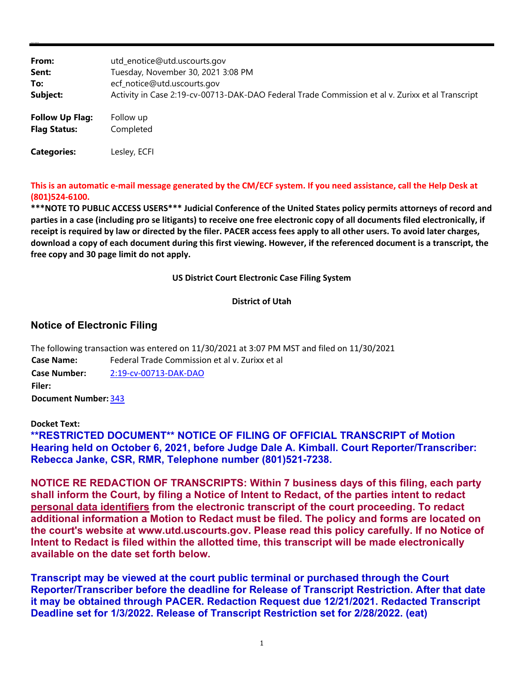| From:                  | utd_enotice@utd.uscourts.gov                                                                     |
|------------------------|--------------------------------------------------------------------------------------------------|
| Sent:                  | Tuesday, November 30, 2021 3:08 PM                                                               |
| To:                    | ecf_notice@utd.uscourts.gov                                                                      |
| Subject:               | Activity in Case 2:19-cv-00713-DAK-DAO Federal Trade Commission et al v. Zurixx et al Transcript |
| <b>Follow Up Flag:</b> | Follow up                                                                                        |
| <b>Flag Status:</b>    | Completed                                                                                        |
| <b>Categories:</b>     | Lesley, ECFI                                                                                     |

**This is an automatic e-mail message generated by the CM/ECF system. If you need assistance, call the Help Desk at (801)524-6100.** 

**\*\*\*NOTE TO PUBLIC ACCESS USERS\*\*\* Judicial Conference of the United States policy permits attorneys of record and parties in a case (including pro se litigants) to receive one free electronic copy of all documents filed electronically, if receipt is required by law or directed by the filer. PACER access fees apply to all other users. To avoid later charges, download a copy of each document during this first viewing. However, if the referenced document is a transcript, the free copy and 30 page limit do not apply.**

### **US District Court Electronic Case Filing System**

## **District of Utah**

# **Notice of Electronic Filing**

The following transaction was entered on 11/30/2021 at 3:07 PM MST and filed on 11/30/2021 **Case Name:** Federal Trade Commission et al v. Zurixx et al **Case Number:** 2:19-cv-00713-DAK-DAO **Filer:**

**Document Number:** 343

### **Docket Text:**

**\*\*RESTRICTED DOCUMENT\*\* NOTICE OF FILING OF OFFICIAL TRANSCRIPT of Motion Hearing held on October 6, 2021, before Judge Dale A. Kimball. Court Reporter/Transcriber: Rebecca Janke, CSR, RMR, Telephone number (801)521-7238.** 

**NOTICE RE REDACTION OF TRANSCRIPTS: Within 7 business days of this filing, each party shall inform the Court, by filing a Notice of Intent to Redact, of the parties intent to redact personal data identifiers from the electronic transcript of the court proceeding. To redact additional information a Motion to Redact must be filed. The policy and forms are located on the court's website at www.utd.uscourts.gov. Please read this policy carefully. If no Notice of Intent to Redact is filed within the allotted time, this transcript will be made electronically available on the date set forth below.**

**Transcript may be viewed at the court public terminal or purchased through the Court Reporter/Transcriber before the deadline for Release of Transcript Restriction. After that date it may be obtained through PACER. Redaction Request due 12/21/2021. Redacted Transcript Deadline set for 1/3/2022. Release of Transcript Restriction set for 2/28/2022. (eat)**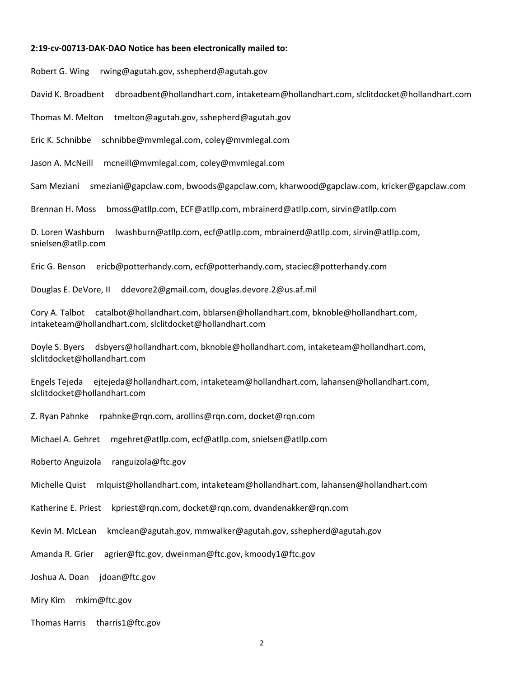#### **2:19-cv-00713-DAK-DAO Notice has been electronically mailed to:**

Robert G. Wing rwing@agutah.gov, sshepherd@agutah.gov

David K. Broadbent dbroadbent@hollandhart.com, intaketeam@hollandhart.com, slclitdocket@hollandhart.com

Thomas M. Melton tmelton@agutah.gov, sshepherd@agutah.gov

Eric K. Schnibbe schnibbe@mvmlegal.com, coley@mvmlegal.com

Jason A. McNeill mcneill@mvmlegal.com, coley@mvmlegal.com

Sam Meziani smeziani@gapclaw.com, bwoods@gapclaw.com, kharwood@gapclaw.com, kricker@gapclaw.com

Brennan H. Moss bmoss@atllp.com, ECF@atllp.com, mbrainerd@atllp.com, sirvin@atllp.com

D. Loren Washburn lwashburn@atllp.com, ecf@atllp.com, mbrainerd@atllp.com, sirvin@atllp.com, snielsen@atllp.com

Eric G. Benson ericb@potterhandy.com, ecf@potterhandy.com, staciec@potterhandy.com

Douglas E. DeVore, II ddevore2@gmail.com, douglas.devore.2@us.af.mil

Cory A. Talbot catalbot@hollandhart.com, bblarsen@hollandhart.com, bknoble@hollandhart.com, intaketeam@hollandhart.com, slclitdocket@hollandhart.com

Doyle S. Byers dsbyers@hollandhart.com, bknoble@hollandhart.com, intaketeam@hollandhart.com, slclitdocket@hollandhart.com

Engels Tejeda ejtejeda@hollandhart.com, intaketeam@hollandhart.com, lahansen@hollandhart.com, slclitdocket@hollandhart.com

Z. Ryan Pahnke rpahnke@rqn.com, arollins@rqn.com, docket@rqn.com

Michael A. Gehret mgehret@atllp.com, ecf@atllp.com, snielsen@atllp.com

Roberto Anguizola ranguizola@ftc.gov

Michelle Quist mlquist@hollandhart.com, intaketeam@hollandhart.com, lahansen@hollandhart.com

Katherine E. Priest kpriest@rqn.com, docket@rqn.com, dvandenakker@rqn.com

Kevin M. McLean kmclean@agutah.gov, mmwalker@agutah.gov, sshepherd@agutah.gov

Amanda R. Grier agrier@ftc.gov, dweinman@ftc.gov, kmoody1@ftc.gov

Joshua A. Doan idoan@ftc.gov

Miry Kim mkim@ftc.gov

Thomas Harris tharris1@ftc.gov